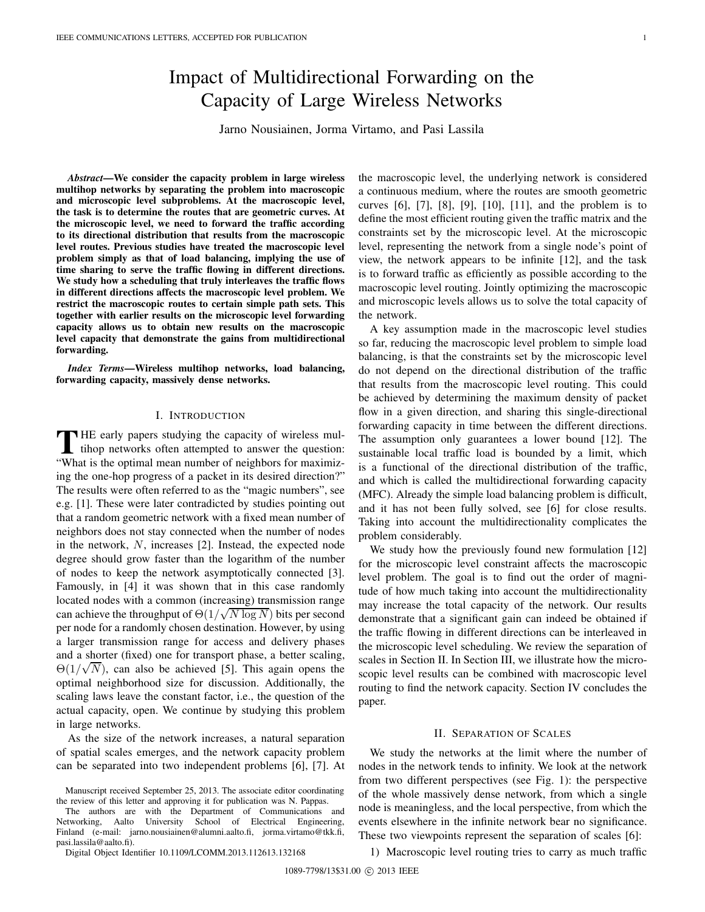# Impact of Multidirectional Forwarding on the Capacity of Large Wireless Networks

Jarno Nousiainen, Jorma Virtamo, and Pasi Lassila

*Abstract***—We consider the capacity problem in large wireless multihop networks by separating the problem into macroscopic and microscopic level subproblems. At the macroscopic level, the task is to determine the routes that are geometric curves. At the microscopic level, we need to forward the traffic according to its directional distribution that results from the macroscopic level routes. Previous studies have treated the macroscopic level problem simply as that of load balancing, implying the use of time sharing to serve the traffic flowing in different directions. We study how a scheduling that truly interleaves the traffic flows in different directions affects the macroscopic level problem. We restrict the macroscopic routes to certain simple path sets. This together with earlier results on the microscopic level forwarding capacity allows us to obtain new results on the macroscopic level capacity that demonstrate the gains from multidirectional forwarding.**

*Index Terms***—Wireless multihop networks, load balancing, forwarding capacity, massively dense networks.**

#### I. INTRODUCTION

**T** HE early papers studying the capacity of wireless multiple to the question:<br>
"What is the entimel mean number of principle as for manimizing "What is the optimal mean number of neighbors for maximizing the one-hop progress of a packet in its desired direction?" The results were often referred to as the "magic numbers", see e.g. [1]. These were later contradicted by studies pointing out that a random geometric network with a fixed mean number of neighbors does not stay connected when the number of nodes in the network, N, increases [2]. Instead, the expected node degree should grow faster than the logarithm of the number of nodes to keep the network asymptotically connected [3]. Famously, in [4] it was shown that in this case randomly located nodes with a common (increasing) transmission range can achieve the throughput of  $\Theta(1/\sqrt{N \log N})$  bits per second<br>per node for a randomly chosen destination. However, by using per node for a randomly chosen destination. However, by using a larger transmission range for access and delivery phases and a shorter (fixed) one for transport phase, a better scaling,  $\Theta(1/\sqrt{N})$ , can also be achieved [5]. This again opens the optimal peighborhood size for discussion. Additionally, the optimal neighborhood size for discussion. Additionally, the scaling laws leave the constant factor, i.e., the question of the actual capacity, open. We continue by studying this problem in large networks.

As the size of the network increases, a natural separation of spatial scales emerges, and the network capacity problem can be separated into two independent problems [6], [7]. At

The authors are with the Department of Communications and Networking, Aalto University School of Electrical Engineering, Finland (e-mail: jarno.nousiainen@alumni.aalto.fi, jorma.virtamo@tkk.fi, pasi.lassila@aalto.fi).

Digital Object Identifier 10.1109/LCOMM.2013.112613.132168

the macroscopic level, the underlying network is considered a continuous medium, where the routes are smooth geometric curves [6], [7], [8], [9], [10], [11], and the problem is to define the most efficient routing given the traffic matrix and the constraints set by the microscopic level. At the microscopic level, representing the network from a single node's point of view, the network appears to be infinite [12], and the task is to forward traffic as efficiently as possible according to the macroscopic level routing. Jointly optimizing the macroscopic and microscopic levels allows us to solve the total capacity of the network.

A key assumption made in the macroscopic level studies so far, reducing the macroscopic level problem to simple load balancing, is that the constraints set by the microscopic level do not depend on the directional distribution of the traffic that results from the macroscopic level routing. This could be achieved by determining the maximum density of packet flow in a given direction, and sharing this single-directional forwarding capacity in time between the different directions. The assumption only guarantees a lower bound [12]. The sustainable local traffic load is bounded by a limit, which is a functional of the directional distribution of the traffic, and which is called the multidirectional forwarding capacity (MFC). Already the simple load balancing problem is difficult, and it has not been fully solved, see [6] for close results. Taking into account the multidirectionality complicates the problem considerably.

We study how the previously found new formulation [12] for the microscopic level constraint affects the macroscopic level problem. The goal is to find out the order of magnitude of how much taking into account the multidirectionality may increase the total capacity of the network. Our results demonstrate that a significant gain can indeed be obtained if the traffic flowing in different directions can be interleaved in the microscopic level scheduling. We review the separation of scales in Section II. In Section III, we illustrate how the microscopic level results can be combined with macroscopic level routing to find the network capacity. Section IV concludes the paper.

## II. SEPARATION OF SCALES

We study the networks at the limit where the number of nodes in the network tends to infinity. We look at the network from two different perspectives (see Fig. 1): the perspective of the whole massively dense network, from which a single node is meaningless, and the local perspective, from which the events elsewhere in the infinite network bear no significance. These two viewpoints represent the separation of scales [6]:

1) Macroscopic level routing tries to carry as much traffic

Manuscript received September 25, 2013. The associate editor coordinating the review of this letter and approving it for publication was N. Pappas.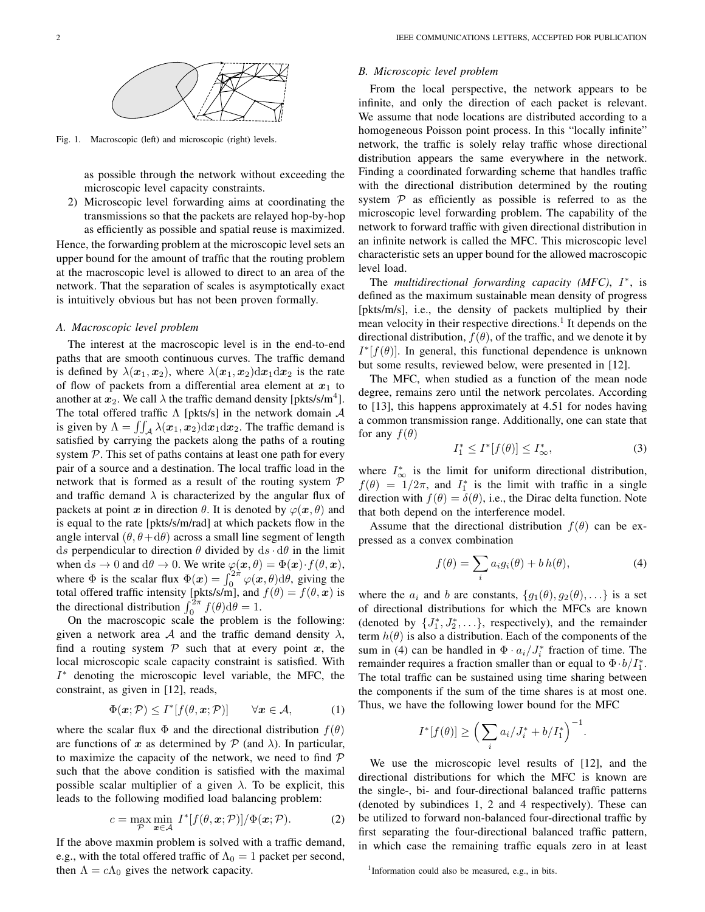

Fig. 1. Macroscopic (left) and microscopic (right) levels.

as possible through the network without exceeding the microscopic level capacity constraints.

2) Microscopic level forwarding aims at coordinating the transmissions so that the packets are relayed hop-by-hop as efficiently as possible and spatial reuse is maximized.

Hence, the forwarding problem at the microscopic level sets an upper bound for the amount of traffic that the routing problem at the macroscopic level is allowed to direct to an area of the network. That the separation of scales is asymptotically exact is intuitively obvious but has not been proven formally.

## *A. Macroscopic level problem*

The interest at the macroscopic level is in the end-to-end paths that are smooth continuous curves. The traffic demand is defined by  $\lambda(x_1, x_2)$ , where  $\lambda(x_1, x_2)dx_1dx_2$  is the rate of flow of packets from a differential area element at  $x_1$  to another at  $x_2$ . We call  $\lambda$  the traffic demand density [pkts/s/m<sup>4</sup>]. The total offered traffic  $\Lambda$  [pkts/s] in the network domain  $\mathcal A$ is given by  $\Lambda = \iint_A \lambda(x_1, x_2) dx_1 dx_2$ . The traffic demand is<br>satisfied by carrying the packets along the paths of a routing satisfied by carrying the packets along the paths of a routing system  $P$ . This set of paths contains at least one path for every pair of a source and a destination. The local traffic load in the network that is formed as a result of the routing system  $P$ and traffic demand  $\lambda$  is characterized by the angular flux of packets at point *x* in direction  $\theta$ . It is denoted by  $\varphi(\mathbf{x}, \theta)$  and is equal to the rate [pkts/s/m/rad] at which packets flow in the angle interval  $(\theta, \theta + d\theta)$  across a small line segment of length ds perpendicular to direction  $\theta$  divided by  $ds \cdot d\theta$  in the limit when ds  $\rightarrow 0$  and d $\theta \rightarrow 0$ . We write  $\varphi(\mathbf{x}, \theta) = \Phi(\mathbf{x}) \cdot f(\theta, \mathbf{x})$ ,<br>where  $\Phi$  is the scalar flux  $\Phi(\mathbf{x}) = \int_0^{2\pi} \varphi(\mathbf{x}, \theta) d\theta$ , giving the<br>total offered traffic intensity [pkts/s/m] and  $f(\theta) - f(\theta, \mathbf{x})$  is total offered traffic intensity [pkts/s/m], and  $f(\theta) = f(\theta, x)$  is<br>the directional distribution  $\int_0^{2\pi} f(\theta) d\theta = 1$ .<br>On the macroscopic scale the problem is the following:

On the macroscopic scale the problem is the following: given a network area A and the traffic demand density  $\lambda$ , find a routing system  $P$  such that at every point  $x$ , the local microscopic scale capacity constraint is satisfied. With I<sup>∗</sup> denoting the microscopic level variable, the MFC, the constraint, as given in [12], reads,

$$
\Phi(\mathbf{x}; \mathcal{P}) \le I^* [f(\theta, \mathbf{x}; \mathcal{P})] \qquad \forall \mathbf{x} \in \mathcal{A}, \tag{1}
$$

where the scalar flux  $\Phi$  and the directional distribution  $f(\theta)$ are functions of x as determined by  $P$  (and  $\lambda$ ). In particular, to maximize the capacity of the network, we need to find  $P$ such that the above condition is satisfied with the maximal possible scalar multiplier of a given  $\lambda$ . To be explicit, this leads to the following modified load balancing problem:

$$
c = \max_{\mathcal{P}} \min_{\mathbf{x} \in \mathcal{A}} I^*[f(\theta, \mathbf{x}; \mathcal{P})] / \Phi(\mathbf{x}; \mathcal{P}).
$$
 (2)

If the above maxmin problem is solved with a traffic demand, e.g., with the total offered traffic of  $\Lambda_0 = 1$  packet per second, then  $\Lambda = c\Lambda_0$  gives the network capacity.

#### *B. Microscopic level problem*

From the local perspective, the network appears to be infinite, and only the direction of each packet is relevant. We assume that node locations are distributed according to a homogeneous Poisson point process. In this "locally infinite" network, the traffic is solely relay traffic whose directional distribution appears the same everywhere in the network. Finding a coordinated forwarding scheme that handles traffic with the directional distribution determined by the routing system  $P$  as efficiently as possible is referred to as the microscopic level forwarding problem. The capability of the network to forward traffic with given directional distribution in an infinite network is called the MFC. This microscopic level characteristic sets an upper bound for the allowed macroscopic level load.

The *multidirectional forwarding capacity (MFC)*, I∗, is defined as the maximum sustainable mean density of progress [pkts/m/s], i.e., the density of packets multiplied by their mean velocity in their respective directions.<sup>1</sup> It depends on the directional distribution,  $f(\theta)$ , of the traffic, and we denote it by  $I^*[f(\theta)]$ . In general, this functional dependence is unknown but some results, reviewed below, were presented in [12].

The MFC, when studied as a function of the mean node degree, remains zero until the network percolates. According to [13], this happens approximately at 4.51 for nodes having a common transmission range. Additionally, one can state that for any  $f(\theta)$ 

$$
I_1^* \le I^*[f(\theta)] \le I_\infty^*,\tag{3}
$$

where  $I^*_{\infty}$  is the limit for uniform directional distribution,<br> $f(\theta) = 1/2\pi$  and  $I^*$  is the limit with traffic in a single  $f(\theta) = 1/2\pi$ , and  $I_1^*$  is the limit with traffic in a single<br>direction with  $f(\theta) - \delta(\theta)$  i.e. the Dirac delta function Note direction with  $f(\theta) = \delta(\theta)$ , i.e., the Dirac delta function. Note that both depend on the interference model.

Assume that the directional distribution  $f(\theta)$  can be expressed as a convex combination

$$
f(\theta) = \sum_{i} a_i g_i(\theta) + b h(\theta), \tag{4}
$$

where the  $a_i$  and b are constants,  $\{g_1(\theta), g_2(\theta), \ldots\}$  is a set of directional distributions for which the MFCs are known (denoted by  $\{J_1^*, J_2^*, \ldots\}$ , respectively), and the remainder<br>term  $h(\theta)$  is also a distribution. Each of the components of the term  $h(\theta)$  is also a distribution. Each of the components of the sum in (4) can be handled in  $\Phi \cdot a_i / J_i^*$  fraction of time. The remainder requires a fraction smaller than or equal to  $\Phi \cdot h / I^*$ remainder requires a fraction smaller than or equal to  $\Phi \cdot b/I_1^*$ .<br>The total traffic can be sustained using time sharing between The total traffic can be sustained using time sharing between the components if the sum of the time shares is at most one. Thus, we have the following lower bound for the MFC

$$
I^*[f(\theta)] \ge \left(\sum_i a_i / J_i^* + b / I_1^*\right)^{-1}
$$

We use the microscopic level results of [12], and the directional distributions for which the MFC is known are the single-, bi- and four-directional balanced traffic patterns (denoted by subindices 1, 2 and 4 respectively). These can be utilized to forward non-balanced four-directional traffic by first separating the four-directional balanced traffic pattern, in which case the remaining traffic equals zero in at least

<sup>1</sup>Information could also be measured, e.g., in bits.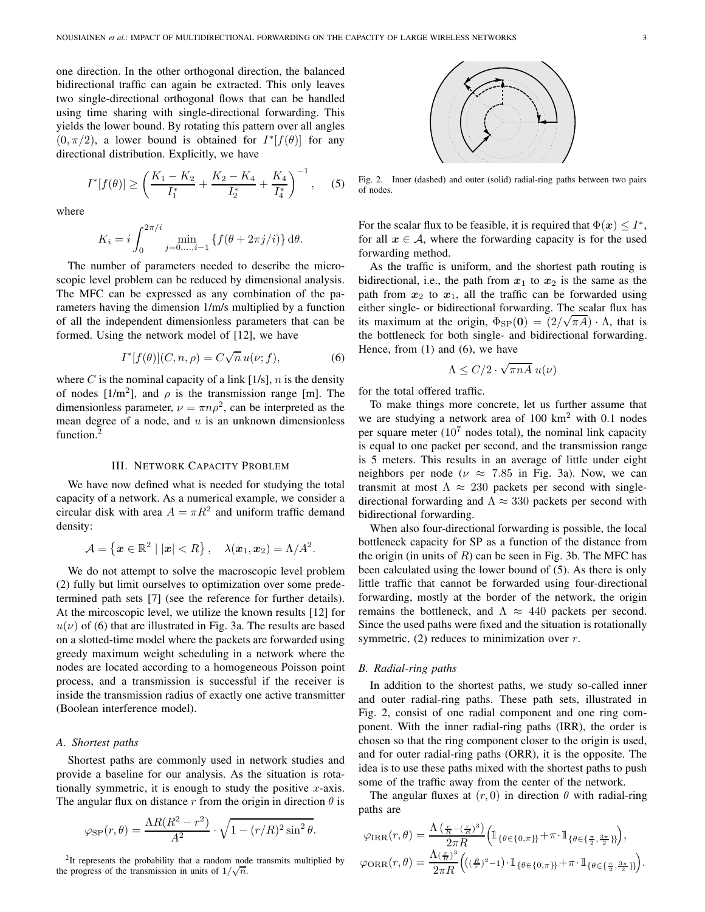one direction. In the other orthogonal direction, the balanced bidirectional traffic can again be extracted. This only leaves two single-directional orthogonal flows that can be handled using time sharing with single-directional forwarding. This yields the lower bound. By rotating this pattern over all angles  $(0, \pi/2)$ , a lower bound is obtained for  $I^*[f(\theta)]$  for any directional distribution. Explicitly, we have

$$
I^*[f(\theta)] \ge \left(\frac{K_1 - K_2}{I_1^*} + \frac{K_2 - K_4}{I_2^*} + \frac{K_4}{I_4^*}\right)^{-1}, \quad (5)
$$

where

$$
K_i = i \int_0^{2\pi/i} \min_{j=0,\dots,i-1} \{ f(\theta + 2\pi j/i) \} d\theta.
$$

The number of parameters needed to describe the microscopic level problem can be reduced by dimensional analysis. The MFC can be expressed as any combination of the parameters having the dimension 1/m/s multiplied by a function of all the independent dimensionless parameters that can be formed. Using the network model of [12], we have

$$
I^*[f(\theta)](C, n, \rho) = C\sqrt{n} u(\nu; f), \qquad (6)
$$

where C is the nominal capacity of a link  $[1/s]$ , n is the density of nodes  $[1/m^2]$ , and  $\rho$  is the transmission range [m]. The dimensionless parameter,  $\nu = \pi n \rho^2$ , can be interpreted as the mean degree of a node, and  $u$  is an unknown dimensionless function.<sup>2</sup>

## III. NETWORK CAPACITY PROBLEM

We have now defined what is needed for studying the total capacity of a network. As a numerical example, we consider a circular disk with area  $A = \pi R^2$  and uniform traffic demand density:

$$
\mathcal{A} = \{ \boldsymbol{x} \in \mathbb{R}^2 \mid |\boldsymbol{x}| < R \}, \quad \lambda(\boldsymbol{x}_1, \boldsymbol{x}_2) = \Lambda/A^2.
$$

We do not attempt to solve the macroscopic level problem (2) fully but limit ourselves to optimization over some predetermined path sets [7] (see the reference for further details). At the mircoscopic level, we utilize the known results [12] for  $u(\nu)$  of (6) that are illustrated in Fig. 3a. The results are based on a slotted-time model where the packets are forwarded using greedy maximum weight scheduling in a network where the nodes are located according to a homogeneous Poisson point process, and a transmission is successful if the receiver is inside the transmission radius of exactly one active transmitter (Boolean interference model).

## *A. Shortest paths*

Shortest paths are commonly used in network studies and provide a baseline for our analysis. As the situation is rotationally symmetric, it is enough to study the positive  $x$ -axis. The angular flux on distance r from the origin in direction  $\theta$  is

$$
\varphi_{\rm SP}(r,\theta) = \frac{\Lambda R(R^2 - r^2)}{A^2} \cdot \sqrt{1 - (r/R)^2 \sin^2 \theta}.
$$

<sup>2</sup>It represents the probability that a random node transmits multiplied by the progress of the transmission in units of  $1/\sqrt{n}$ .



Fig. 2. Inner (dashed) and outer (solid) radial-ring paths between two pairs of nodes.

For the scalar flux to be feasible, it is required that  $\Phi(\mathbf{x}) \leq I^*$ , for all  $x \in A$ , where the forwarding capacity is for the used forwarding method.

As the traffic is uniform, and the shortest path routing is bidirectional, i.e., the path from  $x_1$  to  $x_2$  is the same as the path from  $x_2$  to  $x_1$ , all the traffic can be forwarded using either single- or bidirectional forwarding. The scalar flux has its maximum at the origin,  $\Phi_{SP}(\mathbf{0}) = (2/\sqrt{\pi}A) \cdot \Lambda$ , that is<br>the bottleneck for both single- and bidirectional forwarding the bottleneck for both single- and bidirectional forwarding. Hence, from (1) and (6), we have

$$
\Lambda \leq C/2 \cdot \sqrt{\pi n A} \; u(\nu)
$$

for the total offered traffic.

To make things more concrete, let us further assume that we are studying a network area of  $100 \text{ km}^2$  with 0.1 nodes per square meter  $(10^7 \text{ nodes total})$ , the nominal link capacity is equal to one packet per second, and the transmission range is 5 meters. This results in an average of little under eight neighbors per node ( $\nu \approx 7.85$  in Fig. 3a). Now, we can transmit at most  $\Lambda \approx 230$  packets per second with singledirectional forwarding and  $\Lambda \approx 330$  packets per second with bidirectional forwarding.

When also four-directional forwarding is possible, the local bottleneck capacity for SP as a function of the distance from the origin (in units of  $R$ ) can be seen in Fig. 3b. The MFC has been calculated using the lower bound of (5). As there is only little traffic that cannot be forwarded using four-directional forwarding, mostly at the border of the network, the origin remains the bottleneck, and  $\Lambda \approx 440$  packets per second. Since the used paths were fixed and the situation is rotationally symmetric,  $(2)$  reduces to minimization over r.

## *B. Radial-ring paths*

In addition to the shortest paths, we study so-called inner and outer radial-ring paths. These path sets, illustrated in Fig. 2, consist of one radial component and one ring component. With the inner radial-ring paths (IRR), the order is chosen so that the ring component closer to the origin is used, and for outer radial-ring paths (ORR), it is the opposite. The idea is to use these paths mixed with the shortest paths to push some of the traffic away from the center of the network.

The angular fluxes at  $(r, 0)$  in direction  $\theta$  with radial-ring paths are

$$
\varphi_{\rm IRR}(r,\theta) = \frac{\Lambda\left(\frac{r}{R} - \left(\frac{r}{R}\right)^3\right)}{2\pi R} \left(\mathbb{1}_{\{\theta \in \{0,\pi\}\}} + \pi \cdot \mathbb{1}_{\{\theta \in \{\frac{\pi}{2},\frac{3\pi}{2}\}\}}\right),
$$
  

$$
\varphi_{\rm ORR}(r,\theta) = \frac{\Lambda\left(\frac{r}{R}\right)^3}{2\pi R} \left((\frac{R}{r})^2 - 1\right) \cdot \mathbb{1}_{\{\theta \in \{0,\pi\}\}} + \pi \cdot \mathbb{1}_{\{\theta \in \{\frac{\pi}{2},\frac{3\pi}{2}\}\}}\right).
$$